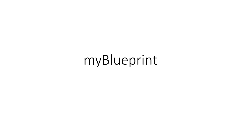# myBlueprint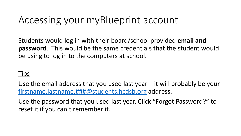### Accessing your myBlueprint account

Students would log in with their board/school provided **email and password**. This would be the same credentials that the student would be using to log in to the computers at school.

#### **Tips**

Use the email address that you used last year – it will probably be your [firstname.lastname.###@students.hcdsb.org](mailto:firstname.lastname.###@students.hcdsb.org) address.

Use the password that you used last year. Click "Forgot Password?" to reset it if you can't remember it.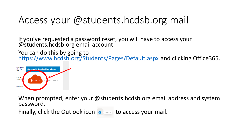## Access your @students.hcdsb.org mail

If you've requested a password reset, you will have to access your @students.hcdsb.org email account.

You can do this by going to <https://www.hcdsb.org/Students/Pages/Default.aspx> and clicking Office365.



When prompted, enter your @students.hcdsb.org email address and system password.

Finally, click the Outlook icon  $\bullet$  outlook to access your mail.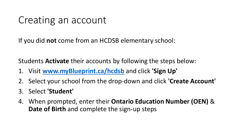### Creating an account

If you did **not** come from an HCDSB elementary school:

Students **Activate** their accounts by following the steps below:

- 1. Visit **[www.myBlueprint.ca/hcdsb](http://www.myblueprint.ca/hcdsb)** and click **'Sign Up'**
- 2. Select your school from the drop-down and click **'Create Account'**
- 3. Select **'Student'**
- 4. When prompted, enter their **Ontario Education Number (OEN)** & **Date of Birth** and complete the sign-up steps